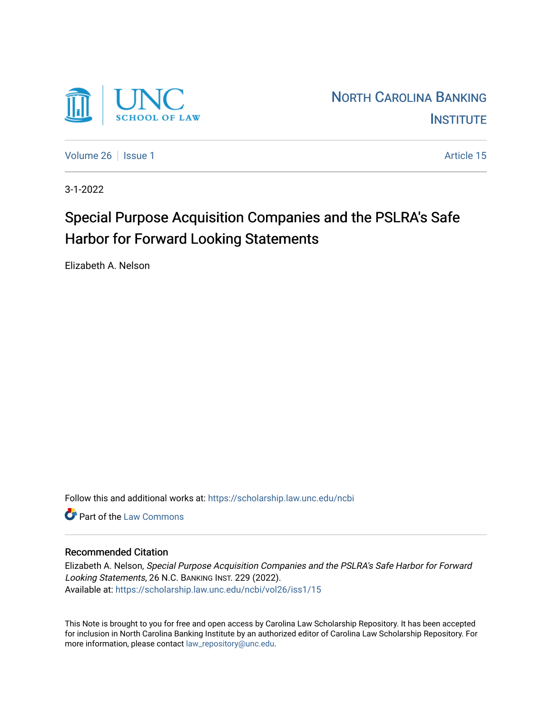

[Volume 26](https://scholarship.law.unc.edu/ncbi/vol26) | [Issue 1](https://scholarship.law.unc.edu/ncbi/vol26/iss1) Article 15

3-1-2022

# Special Purpose Acquisition Companies and the PSLRA's Safe Harbor for Forward Looking Statements

Elizabeth A. Nelson

Follow this and additional works at: [https://scholarship.law.unc.edu/ncbi](https://scholarship.law.unc.edu/ncbi?utm_source=scholarship.law.unc.edu%2Fncbi%2Fvol26%2Fiss1%2F15&utm_medium=PDF&utm_campaign=PDFCoverPages)

**C** Part of the [Law Commons](https://network.bepress.com/hgg/discipline/578?utm_source=scholarship.law.unc.edu%2Fncbi%2Fvol26%2Fiss1%2F15&utm_medium=PDF&utm_campaign=PDFCoverPages)

# Recommended Citation

Elizabeth A. Nelson, Special Purpose Acquisition Companies and the PSLRA's Safe Harbor for Forward Looking Statements, 26 N.C. BANKING INST. 229 (2022). Available at: [https://scholarship.law.unc.edu/ncbi/vol26/iss1/15](https://scholarship.law.unc.edu/ncbi/vol26/iss1/15?utm_source=scholarship.law.unc.edu%2Fncbi%2Fvol26%2Fiss1%2F15&utm_medium=PDF&utm_campaign=PDFCoverPages) 

This Note is brought to you for free and open access by Carolina Law Scholarship Repository. It has been accepted for inclusion in North Carolina Banking Institute by an authorized editor of Carolina Law Scholarship Repository. For more information, please contact [law\\_repository@unc.edu](mailto:law_repository@unc.edu).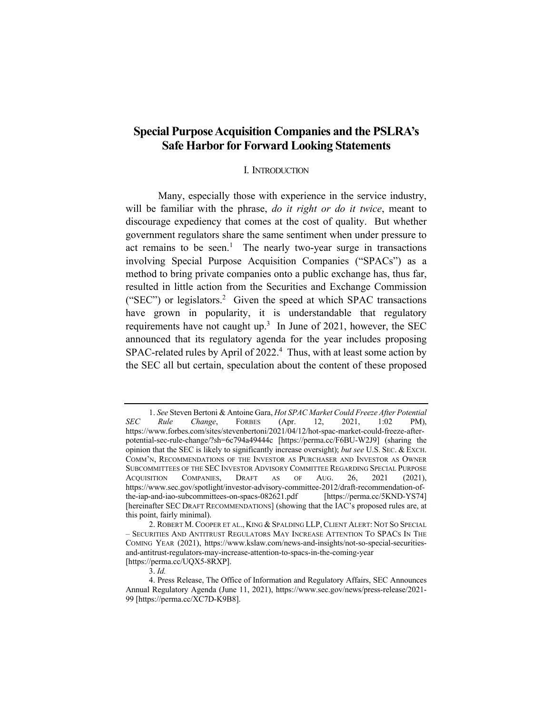# **Special Purpose Acquisition Companies and the PSLRA's Safe Harbor for Forward Looking Statements**

### I. INTRODUCTION

Many, especially those with experience in the service industry, will be familiar with the phrase, *do it right or do it twice*, meant to discourage expediency that comes at the cost of quality. But whether government regulators share the same sentiment when under pressure to act remains to be seen.<sup>1</sup> The nearly two-year surge in transactions involving Special Purpose Acquisition Companies ("SPACs") as a method to bring private companies onto a public exchange has, thus far, resulted in little action from the Securities and Exchange Commission ("SEC") or legislators.<sup>2</sup> Given the speed at which SPAC transactions have grown in popularity, it is understandable that regulatory requirements have not caught up.<sup>3</sup> In June of 2021, however, the SEC announced that its regulatory agenda for the year includes proposing SPAC-related rules by April of 2022.<sup>4</sup> Thus, with at least some action by the SEC all but certain, speculation about the content of these proposed

<sup>1.</sup> *See* Steven Bertoni & Antoine Gara, *Hot SPAC Market Could Freeze After Potential SEC Rule Change*, FORBES (Apr. 12, 2021, 1:02 PM), https://www.forbes.com/sites/stevenbertoni/2021/04/12/hot-spac-market-could-freeze-afterpotential-sec-rule-change/?sh=6c794a49444c [https://perma.cc/F6BU-W2J9] (sharing the opinion that the SEC is likely to significantly increase oversight); *but see* U.S. SEC. & EXCH. COMM'N, RECOMMENDATIONS OF THE INVESTOR AS PURCHASER AND INVESTOR AS OWNER SUBCOMMITTEES OF THE SEC INVESTOR ADVISORY COMMITTEE REGARDING SPECIAL PURPOSE ACQUISITION COMPANIES, DRAFT AS OF AUG. 26, 2021 (2021), https://www.sec.gov/spotlight/investor-advisory-committee-2012/draft-recommendation-ofthe-iap-and-iao-subcommittees-on-spacs-082621.pdf [https://perma.cc/5KND-YS74] [hereinafter SEC DRAFT RECOMMENDATIONS] (showing that the IAC's proposed rules are, at this point, fairly minimal).

<sup>2.</sup> ROBERT M. COOPER ET AL., KING & SPALDING LLP, CLIENT ALERT: NOT SO SPECIAL – SECURITIES AND ANTITRUST REGULATORS MAY INCREASE ATTENTION TO SPACS IN THE COMING YEAR (2021), https://www.kslaw.com/news-and-insights/not-so-special-securitiesand-antitrust-regulators-may-increase-attention-to-spacs-in-the-coming-year [https://perma.cc/UQX5-8RXP].

<sup>3.</sup> *Id.*

<sup>4.</sup> Press Release, The Office of Information and Regulatory Affairs, SEC Announces Annual Regulatory Agenda (June 11, 2021), https://www.sec.gov/news/press-release/2021- 99 [https://perma.cc/XC7D-K9B8].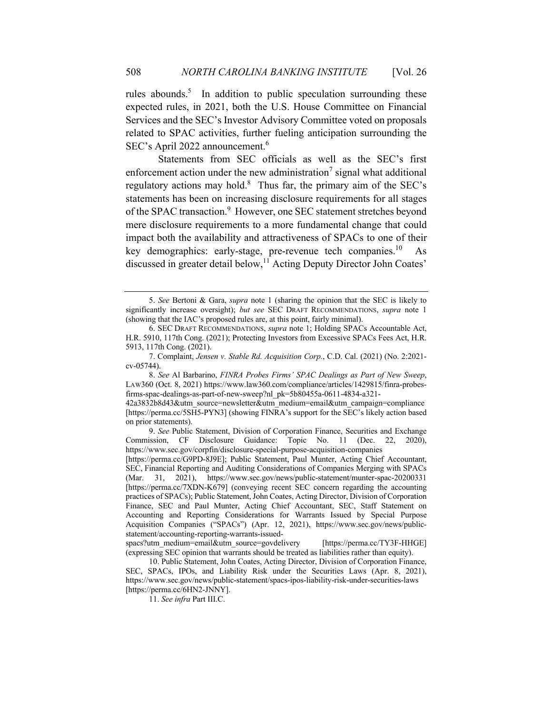rules abounds.<sup>5</sup> In addition to public speculation surrounding these expected rules, in 2021, both the U.S. House Committee on Financial Services and the SEC's Investor Advisory Committee voted on proposals related to SPAC activities, further fueling anticipation surrounding the SEC's April 2022 announcement.<sup>6</sup>

Statements from SEC officials as well as the SEC's first enforcement action under the new administration<sup>7</sup> signal what additional regulatory actions may hold.<sup>8</sup> Thus far, the primary aim of the SEC's statements has been on increasing disclosure requirements for all stages of the SPAC transaction.<sup>9</sup> However, one SEC statement stretches beyond mere disclosure requirements to a more fundamental change that could impact both the availability and attractiveness of SPACs to one of their key demographics: early-stage, pre-revenue tech companies.<sup>10</sup> As discussed in greater detail below,<sup>11</sup> Acting Deputy Director John Coates'

8. *See* Al Barbarino, *FINRA Probes Firms' SPAC Dealings as Part of New Sweep*, LAW360 (Oct. 8, 2021) https://www.law360.com/compliance/articles/1429815/finra-probesfirms-spac-dealings-as-part-of-new-sweep?nl\_pk=5b80455a-0611-4834-a321-

42a3832b8d43&utm\_source=newsletter&utm\_medium=email&utm\_campaign=compliance [https://perma.cc/5SH5-PYN3] (showing FINRA's support for the SEC's likely action based on prior statements).

9. *See* Public Statement, Division of Corporation Finance, Securities and Exchange Commission, CF Disclosure Guidance: Topic No. 11 (Dec. 22, 2020), https://www.sec.gov/corpfin/disclosure-special-purpose-acquisition-companies

[https://perma.cc/G9PD-8J9E]; Public Statement, Paul Munter, Acting Chief Accountant, SEC, Financial Reporting and Auditing Considerations of Companies Merging with SPACs (Mar. 31, 2021), https://www.sec.gov/news/public-statement/munter-spac-20200331 [https://perma.cc/7XDN-K679] (conveying recent SEC concern regarding the accounting practices of SPACs); Public Statement, John Coates, Acting Director, Division of Corporation Finance, SEC and Paul Munter, Acting Chief Accountant, SEC, Staff Statement on Accounting and Reporting Considerations for Warrants Issued by Special Purpose Acquisition Companies ("SPACs") (Apr. 12, 2021), https://www.sec.gov/news/publicstatement/accounting-reporting-warrants-issued-

spacs?utm\_medium=email&utm\_source=govdelivery [https://perma.cc/TY3F-HHGE] (expressing SEC opinion that warrants should be treated as liabilities rather than equity).

10. Public Statement, John Coates, Acting Director, Division of Corporation Finance, SEC, SPACs, IPOs, and Liability Risk under the Securities Laws (Apr. 8, 2021), https://www.sec.gov/news/public-statement/spacs-ipos-liability-risk-under-securities-laws [https://perma.cc/6HN2-JNNY].

11. *See infra* Part III.C.

<sup>5.</sup> *See* Bertoni & Gara, *supra* note 1 (sharing the opinion that the SEC is likely to significantly increase oversight); *but see* SEC DRAFT RECOMMENDATIONS, *supra* note 1 (showing that the IAC's proposed rules are, at this point, fairly minimal).

<sup>6.</sup> SEC DRAFT RECOMMENDATIONS, *supra* note 1; Holding SPACs Accountable Act, H.R. 5910, 117th Cong. (2021); Protecting Investors from Excessive SPACs Fees Act, H.R. 5913, 117th Cong. (2021).

<sup>7.</sup> Complaint, *Jensen v. Stable Rd. Acquisition Corp.*, C.D. Cal. (2021) (No. 2:2021 cv-05744).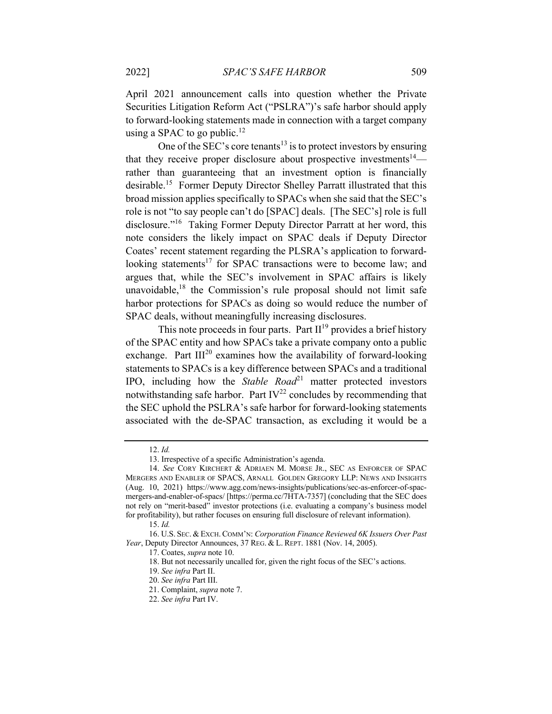April 2021 announcement calls into question whether the Private Securities Litigation Reform Act ("PSLRA")'s safe harbor should apply to forward-looking statements made in connection with a target company using a SPAC to go public.<sup>12</sup>

One of the SEC's core tenants<sup>13</sup> is to protect investors by ensuring that they receive proper disclosure about prospective investments<sup>14</sup> rather than guaranteeing that an investment option is financially desirable.15 Former Deputy Director Shelley Parratt illustrated that this broad mission applies specifically to SPACs when she said that the SEC's role is not "to say people can't do [SPAC] deals. [The SEC's] role is full disclosure."16 Taking Former Deputy Director Parratt at her word, this note considers the likely impact on SPAC deals if Deputy Director Coates' recent statement regarding the PLSRA's application to forwardlooking statements<sup>17</sup> for SPAC transactions were to become law; and argues that, while the SEC's involvement in SPAC affairs is likely unavoidable, $18$  the Commission's rule proposal should not limit safe harbor protections for SPACs as doing so would reduce the number of SPAC deals, without meaningfully increasing disclosures.

This note proceeds in four parts. Part  $II^{19}$  provides a brief history of the SPAC entity and how SPACs take a private company onto a public exchange. Part  $III^{20}$  examines how the availability of forward-looking statements to SPACs is a key difference between SPACs and a traditional IPO, including how the *Stable Road*<sup>21</sup> matter protected investors notwithstanding safe harbor. Part  $IV^{22}$  concludes by recommending that the SEC uphold the PSLRA's safe harbor for forward-looking statements associated with the de-SPAC transaction, as excluding it would be a

18. But not necessarily uncalled for, given the right focus of the SEC's actions.

<sup>12.</sup> *Id.*

<sup>13.</sup> Irrespective of a specific Administration's agenda.

<sup>14.</sup> *See* CORY KIRCHERT & ADRIAEN M. MORSE JR., SEC AS ENFORCER OF SPAC MERGERS AND ENABLER OF SPACS, ARNALL GOLDEN GREGORY LLP: NEWS AND INSIGHTS (Aug. 10, 2021) https://www.agg.com/news-insights/publications/sec-as-enforcer-of-spacmergers-and-enabler-of-spacs/ [https://perma.cc/7HTA-7357] (concluding that the SEC does not rely on "merit-based" investor protections (i.e. evaluating a company's business model for profitability), but rather focuses on ensuring full disclosure of relevant information).

<sup>15.</sup> *Id.* 

<sup>16.</sup> U.S. SEC. & EXCH.COMM'N: *Corporation Finance Reviewed 6K Issuers Over Past Year*, Deputy Director Announces, 37 REG. & L. REPT. 1881 (Nov. 14, 2005).

<sup>17.</sup> Coates, *supra* note 10.

<sup>19.</sup> *See infra* Part II.

<sup>20.</sup> *See infra* Part III.

<sup>21.</sup> Complaint, *supra* note 7.

<sup>22.</sup> *See infra* Part IV.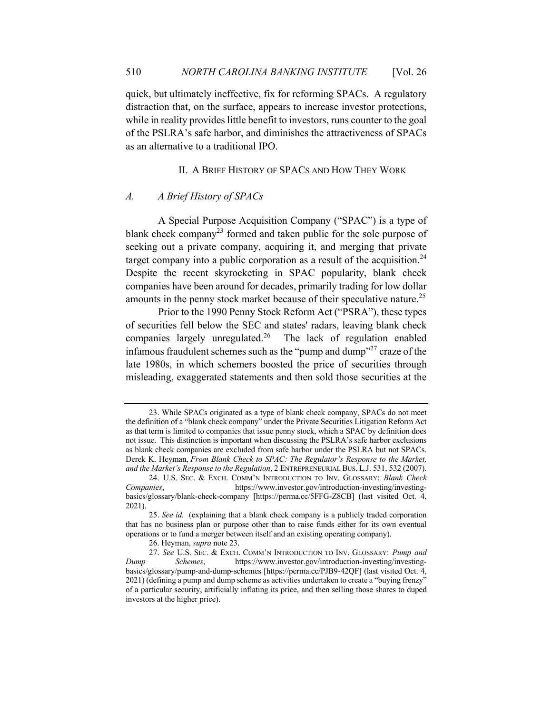quick, but ultimately ineffective, fix for reforming SPACs. A regulatory distraction that, on the surface, appears to increase investor protections, while in reality provides little benefit to investors, runs counter to the goal of the PSLRA's safe harbor, and diminishes the attractiveness of SPACs as an alternative to a traditional IPO.

### II. A BRIEF HISTORY OF SPACS AND HOW THEY WORK

# *A. A Brief History of SPACs*

A Special Purpose Acquisition Company ("SPAC") is a type of blank check company<sup>23</sup> formed and taken public for the sole purpose of seeking out a private company, acquiring it, and merging that private target company into a public corporation as a result of the acquisition.<sup>24</sup> Despite the recent skyrocketing in SPAC popularity, blank check companies have been around for decades, primarily trading for low dollar amounts in the penny stock market because of their speculative nature.<sup>25</sup>

Prior to the 1990 Penny Stock Reform Act ("PSRA"), these types of securities fell below the SEC and states' radars, leaving blank check companies largely unregulated.<sup>26</sup> The lack of regulation enabled infamous fraudulent schemes such as the "pump and dump"<sup>27</sup> craze of the late 1980s, in which schemers boosted the price of securities through misleading, exaggerated statements and then sold those securities at the

<sup>23.</sup> While SPACs originated as a type of blank check company, SPACs do not meet the definition of a "blank check company" under the Private Securities Litigation Reform Act as that term is limited to companies that issue penny stock, which a SPAC by definition does not issue. This distinction is important when discussing the PSLRA's safe harbor exclusions as blank check companies are excluded from safe harbor under the PSLRA but not SPACs. Derek K. Heyman, *From Blank Check to SPAC: The Regulator's Response to the Market, and the Market's Response to the Regulation*, 2 ENTREPRENEURIAL BUS. L.J. 531, 532 (2007).

<sup>24.</sup> U.S. SEC. & EXCH. COMM'N INTRODUCTION TO INV. GLOSSARY: *Blank Check Companies*, https://www.investor.gov/introduction-investing/investingbasics/glossary/blank-check-company [https://perma.cc/5FFG-Z8CB] (last visited Oct. 4, 2021).

<sup>25.</sup> *See id.* (explaining that a blank check company is a publicly traded corporation that has no business plan or purpose other than to raise funds either for its own eventual operations or to fund a merger between itself and an existing operating company).

<sup>26.</sup> Heyman, *supra* note 23.

<sup>27.</sup> *See* U.S. SEC. & EXCH. COMM'N INTRODUCTION TO INV. GLOSSARY: *Pump and Dump Schemes*, https://www.investor.gov/introduction-investing/investingbasics/glossary/pump-and-dump-schemes [https://perma.cc/PJB9-42QF] (last visited Oct. 4, 2021) (defining a pump and dump scheme as activities undertaken to create a "buying frenzy" of a particular security, artificially inflating its price, and then selling those shares to duped investors at the higher price).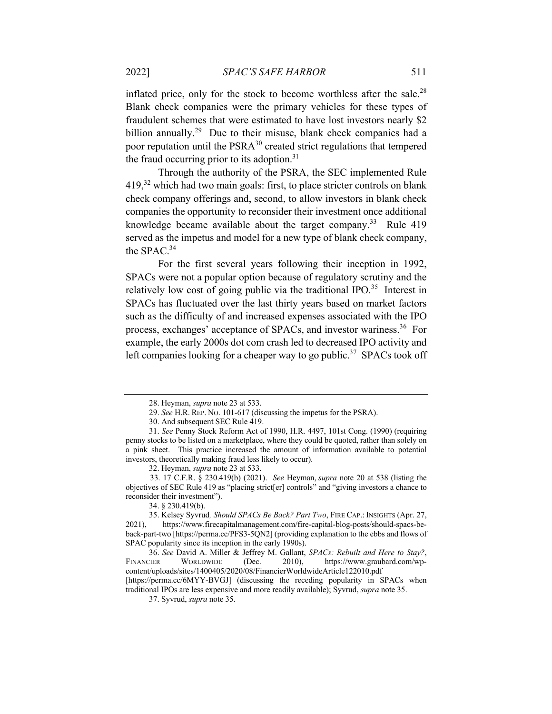inflated price, only for the stock to become worthless after the sale.<sup>28</sup> Blank check companies were the primary vehicles for these types of fraudulent schemes that were estimated to have lost investors nearly \$2 billion annually.<sup>29</sup> Due to their misuse, blank check companies had a poor reputation until the  $PSRA^{30}$  created strict regulations that tempered the fraud occurring prior to its adoption. $31$ 

Through the authority of the PSRA, the SEC implemented Rule  $419<sup>32</sup>$  which had two main goals: first, to place stricter controls on blank check company offerings and, second, to allow investors in blank check companies the opportunity to reconsider their investment once additional knowledge became available about the target company.<sup>33</sup> Rule 419 served as the impetus and model for a new type of blank check company, the SPAC.<sup>34</sup>

For the first several years following their inception in 1992, SPACs were not a popular option because of regulatory scrutiny and the relatively low cost of going public via the traditional IPO.<sup>35</sup> Interest in SPACs has fluctuated over the last thirty years based on market factors such as the difficulty of and increased expenses associated with the IPO process, exchanges' acceptance of SPACs, and investor wariness.36 For example, the early 2000s dot com crash led to decreased IPO activity and left companies looking for a cheaper way to go public.<sup>37</sup> SPACs took off

traditional IPOs are less expensive and more readily available); Syvrud, *supra* note 35.

<sup>28.</sup> Heyman, *supra* note 23 at 533.

<sup>29.</sup> *See* H.R. REP. NO. 101-617 (discussing the impetus for the PSRA).

<sup>30.</sup> And subsequent SEC Rule 419.

<sup>31.</sup> *See* Penny Stock Reform Act of 1990, H.R. 4497, 101st Cong. (1990) (requiring penny stocks to be listed on a marketplace, where they could be quoted, rather than solely on a pink sheet. This practice increased the amount of information available to potential investors, theoretically making fraud less likely to occur).

<sup>32.</sup> Heyman, *supra* note 23 at 533.

 <sup>33. 17</sup> C.F.R. § 230.419(b) (2021). *See* Heyman, *supra* note 20 at 538 (listing the objectives of SEC Rule 419 as "placing strict[er] controls" and "giving investors a chance to reconsider their investment").

<sup>34. § 230.419(</sup>b).

<sup>35.</sup> Kelsey Syvrud*, Should SPACs Be Back? Part Two*, FIRE CAP.: INSIGHTS (Apr. 27, 2021), https://www.firecapitalmanagement.com/fire-capital-blog-posts/should-spacs-beback-part-two [https://perma.cc/PFS3-5QN2] (providing explanation to the ebbs and flows of SPAC popularity since its inception in the early 1990s).

<sup>36.</sup> *See* David A. Miller & Jeffrey M. Gallant, *SPACs: Rebuilt and Here to Stay?*, FINANCIER WORLDWIDE (Dec. 2010), https://www.graubard.com/wpcontent/uploads/sites/1400405/2020/08/FinancierWorldwideArticle122010.pdf [https://perma.cc/6MYY-BVGJ] (discussing the receding popularity in SPACs when

<sup>37.</sup> Syvrud, *supra* note 35.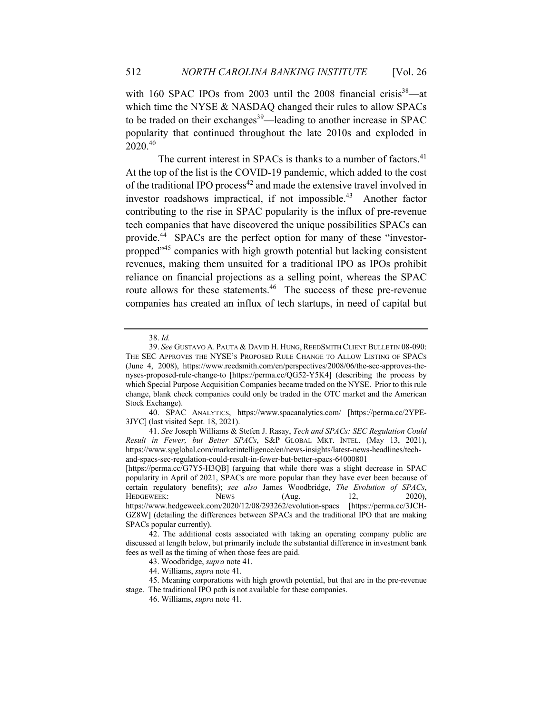with 160 SPAC IPOs from 2003 until the 2008 financial crisis<sup>38</sup>—at which time the NYSE & NASDAQ changed their rules to allow SPACs to be traded on their exchanges<sup>39</sup>—leading to another increase in SPAC popularity that continued throughout the late 2010s and exploded in 2020.40

The current interest in SPACs is thanks to a number of factors.<sup>41</sup> At the top of the list is the COVID-19 pandemic, which added to the cost of the traditional IPO process $42$  and made the extensive travel involved in investor roadshows impractical, if not impossible.<sup>43</sup> Another factor contributing to the rise in SPAC popularity is the influx of pre-revenue tech companies that have discovered the unique possibilities SPACs can provide.44 SPACs are the perfect option for many of these "investorpropped"45 companies with high growth potential but lacking consistent revenues, making them unsuited for a traditional IPO as IPOs prohibit reliance on financial projections as a selling point, whereas the SPAC route allows for these statements.<sup>46</sup> The success of these pre-revenue companies has created an influx of tech startups, in need of capital but

40. SPAC ANALYTICS, https://www.spacanalytics.com/ [https://perma.cc/2YPE-3JYC] (last visited Sept. 18, 2021).

<sup>38.</sup> *Id.*

<sup>39.</sup> *See* GUSTAVO A. PAUTA & DAVID H. HUNG, REEDSMITH CLIENT BULLETIN 08-090: THE SEC APPROVES THE NYSE'S PROPOSED RULE CHANGE TO ALLOW LISTING OF SPACS (June 4, 2008), https://www.reedsmith.com/en/perspectives/2008/06/the-sec-approves-thenyses-proposed-rule-change-to [https://perma.cc/QG52-Y5K4] (describing the process by which Special Purpose Acquisition Companies became traded on the NYSE. Prior to this rule change, blank check companies could only be traded in the OTC market and the American Stock Exchange).

<sup>41.</sup> *See* Joseph Williams & Stefen J. Rasay, *Tech and SPACs: SEC Regulation Could Result in Fewer, but Better SPACs*, S&P GLOBAL MKT. INTEL. (May 13, 2021), https://www.spglobal.com/marketintelligence/en/news-insights/latest-news-headlines/techand-spacs-sec-regulation-could-result-in-fewer-but-better-spacs-64000801

<sup>[</sup>https://perma.cc/G7Y5-H3QB] (arguing that while there was a slight decrease in SPAC popularity in April of 2021, SPACs are more popular than they have ever been because of certain regulatory benefits); *see also* James Woodbridge, *The Evolution of SPACs*, HEDGEWEEK: NEWS (Aug. 12, 2020), https://www.hedgeweek.com/2020/12/08/293262/evolution-spacs [https://perma.cc/3JCH-GZ8W] (detailing the differences between SPACs and the traditional IPO that are making SPACs popular currently).

<sup>42.</sup> The additional costs associated with taking an operating company public are discussed at length below, but primarily include the substantial difference in investment bank fees as well as the timing of when those fees are paid.

<sup>43.</sup> Woodbridge, *supra* note 41.

<sup>44.</sup> Williams, *supra* note 41.

<sup>45.</sup> Meaning corporations with high growth potential, but that are in the pre-revenue stage. The traditional IPO path is not available for these companies.

<sup>46.</sup> Williams, *supra* note 41.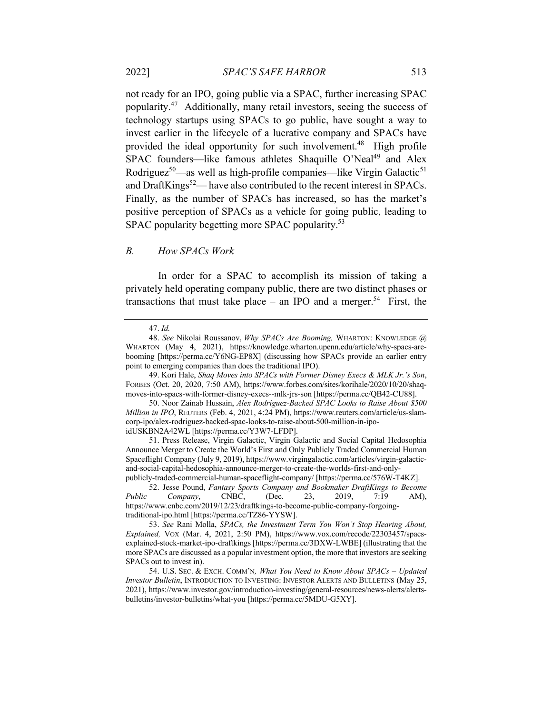not ready for an IPO, going public via a SPAC, further increasing SPAC popularity.47 Additionally, many retail investors, seeing the success of technology startups using SPACs to go public, have sought a way to invest earlier in the lifecycle of a lucrative company and SPACs have provided the ideal opportunity for such involvement.<sup>48</sup> High profile SPAC founders—like famous athletes Shaquille O'Neal<sup>49</sup> and Alex Rodriguez<sup>50</sup>—as well as high-profile companies—like Virgin Galactic<sup>51</sup> and DraftKings<sup>52</sup>— have also contributed to the recent interest in SPACs. Finally, as the number of SPACs has increased, so has the market's positive perception of SPACs as a vehicle for going public, leading to SPAC popularity begetting more SPAC popularity.<sup>53</sup>

### *B. How SPACs Work*

In order for a SPAC to accomplish its mission of taking a privately held operating company public, there are two distinct phases or transactions that must take place – an IPO and a merger.<sup>54</sup> First, the

<sup>47.</sup> *Id.*

<sup>48.</sup> *See* Nikolai Roussanov, *Why SPACs Are Booming,* WHARTON: KNOWLEDGE @ WHARTON (May 4, 2021), https://knowledge.wharton.upenn.edu/article/why-spacs-arebooming [https://perma.cc/Y6NG-EP8X] (discussing how SPACs provide an earlier entry point to emerging companies than does the traditional IPO).

<sup>49.</sup> Kori Hale, *Shaq Moves into SPACs with Former Disney Execs & MLK Jr.'s Son*, FORBES (Oct. 20, 2020, 7:50 AM), https://www.forbes.com/sites/korihale/2020/10/20/shaqmoves-into-spacs-with-former-disney-execs--mlk-jrs-son [https://perma.cc/QB42-CU88].

<sup>50.</sup> Noor Zainab Hussain, *Alex Rodriguez-Backed SPAC Looks to Raise About \$500 Million in IPO*, REUTERS (Feb. 4, 2021, 4:24 PM), https://www.reuters.com/article/us-slamcorp-ipo/alex-rodriguez-backed-spac-looks-to-raise-about-500-million-in-ipoidUSKBN2A42WL [https://perma.cc/Y3W7-LFDP].

<sup>51.</sup> Press Release, Virgin Galactic, Virgin Galactic and Social Capital Hedosophia Announce Merger to Create the World's First and Only Publicly Traded Commercial Human Spaceflight Company (July 9, 2019), https://www.virgingalactic.com/articles/virgin-galacticand-social-capital-hedosophia-announce-merger-to-create-the-worlds-first-and-only-

publicly-traded-commercial-human-spaceflight-company/ [https://perma.cc/576W-T4KZ]. 52. Jesse Pound, *Fantasy Sports Company and Bookmaker DraftKings to Become Public Company*, CNBC, (Dec. 23, 2019, 7:19 AM), https://www.cnbc.com/2019/12/23/draftkings-to-become-public-company-forgoingtraditional-ipo.html [https://perma.cc/TZ86-YYSW].

<sup>53.</sup> *See* Rani Molla, *SPACs, the Investment Term You Won't Stop Hearing About, Explained,* VOX (Mar. 4, 2021, 2:50 PM), https://www.vox.com/recode/22303457/spacsexplained-stock-market-ipo-draftkings [https://perma.cc/3DXW-LWBE] (illustrating that the more SPACs are discussed as a popular investment option, the more that investors are seeking SPACs out to invest in).

<sup>54.</sup> U.S. SEC. & EXCH. COMM'N*, What You Need to Know About SPACs – Updated Investor Bulletin*, INTRODUCTION TO INVESTING: INVESTOR ALERTS AND BULLETINS (May 25, 2021), https://www.investor.gov/introduction-investing/general-resources/news-alerts/alertsbulletins/investor-bulletins/what-you [https://perma.cc/5MDU-G5XY].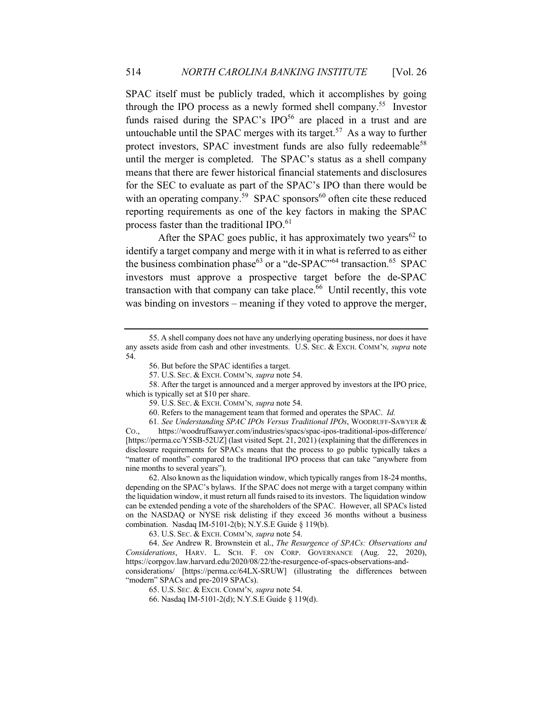SPAC itself must be publicly traded, which it accomplishes by going through the IPO process as a newly formed shell company.<sup>55</sup> Investor funds raised during the SPAC's IPO $56$  are placed in a trust and are untouchable until the SPAC merges with its target.<sup>57</sup> As a way to further protect investors, SPAC investment funds are also fully redeemable<sup>58</sup> until the merger is completed. The SPAC's status as a shell company means that there are fewer historical financial statements and disclosures for the SEC to evaluate as part of the SPAC's IPO than there would be with an operating company.<sup>59</sup> SPAC sponsors<sup>60</sup> often cite these reduced reporting requirements as one of the key factors in making the SPAC process faster than the traditional IPO.<sup>61</sup>

After the SPAC goes public, it has approximately two years<sup>62</sup> to identify a target company and merge with it in what is referred to as either the business combination phase<sup>63</sup> or a "de-SPAC"<sup>64</sup> transaction.<sup>65</sup> SPAC investors must approve a prospective target before the de-SPAC transaction with that company can take place. $66$  Until recently, this vote was binding on investors – meaning if they voted to approve the merger,

62. Also known as the liquidation window, which typically ranges from 18-24 months, depending on the SPAC's bylaws. If the SPAC does not merge with a target company within the liquidation window, it must return all funds raised to its investors. The liquidation window can be extended pending a vote of the shareholders of the SPAC. However, all SPACs listed on the NASDAQ or NYSE risk delisting if they exceed 36 months without a business combination. Nasdaq IM-5101-2(b); N.Y.S.E Guide § 119(b).

63. U.S. SEC. & EXCH. COMM'N*, supra* note 54.

64. *See* Andrew R. Brownstein et al., *The Resurgence of SPACs: Observations and Considerations*, HARV. L. SCH. F. ON CORP. GOVERNANCE (Aug. 22, 2020), https://corpgov.law.harvard.edu/2020/08/22/the-resurgence-of-spacs-observations-andconsiderations/ [https://perma.cc/64LX-SRUW] (illustrating the differences between "modern" SPACs and pre-2019 SPACs).

65. U.S. SEC. & EXCH. COMM'N*, supra* note 54.

66. Nasdaq IM-5101-2(d); N.Y.S.E Guide § 119(d).

<sup>55.</sup> A shell company does not have any underlying operating business, nor does it have any assets aside from cash and other investments. U.S. SEC. & EXCH. COMM'N*, supra* note 54.

<sup>56.</sup> But before the SPAC identifies a target.

<sup>57.</sup> U.S. SEC. & EXCH. COMM'N*, supra* note 54.

<sup>58.</sup> After the target is announced and a merger approved by investors at the IPO price, which is typically set at \$10 per share.

<sup>59.</sup> U.S. SEC. & EXCH. COMM'N*, supra* note 54.

<sup>60.</sup> Refers to the management team that formed and operates the SPAC. *Id.*

<sup>61</sup>*. See Understanding SPAC IPOs Versus Traditional IPOs*, WOODRUFF-SAWYER &

CO., https://woodruffsawyer.com/industries/spacs/spac-ipos-traditional-ipos-difference/ [https://perma.cc/Y5SB-52UZ] (last visited Sept. 21, 2021) (explaining that the differences in disclosure requirements for SPACs means that the process to go public typically takes a "matter of months" compared to the traditional IPO process that can take "anywhere from nine months to several years").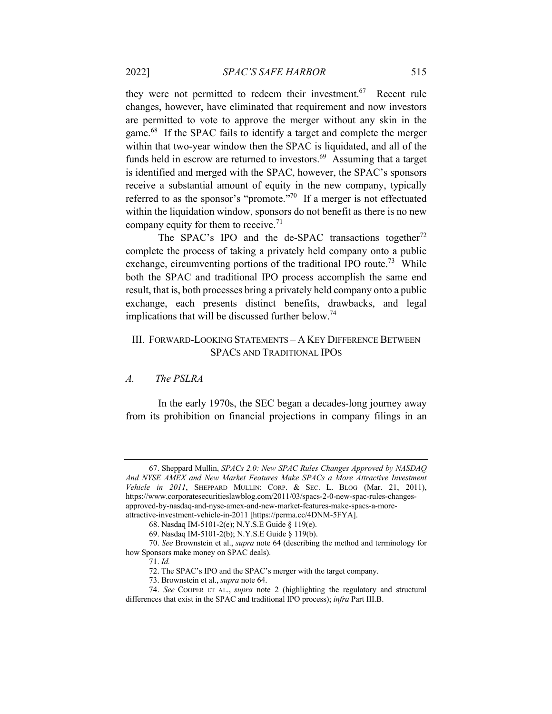they were not permitted to redeem their investment.<sup>67</sup> Recent rule changes, however, have eliminated that requirement and now investors are permitted to vote to approve the merger without any skin in the game.68 If the SPAC fails to identify a target and complete the merger within that two-year window then the SPAC is liquidated, and all of the funds held in escrow are returned to investors. $69$  Assuming that a target is identified and merged with the SPAC, however, the SPAC's sponsors receive a substantial amount of equity in the new company, typically referred to as the sponsor's "promote."70 If a merger is not effectuated within the liquidation window, sponsors do not benefit as there is no new company equity for them to receive.<sup>71</sup>

The SPAC's IPO and the de-SPAC transactions together<sup>72</sup> complete the process of taking a privately held company onto a public exchange, circumventing portions of the traditional IPO route.<sup>73</sup> While both the SPAC and traditional IPO process accomplish the same end result, that is, both processes bring a privately held company onto a public exchange, each presents distinct benefits, drawbacks, and legal implications that will be discussed further below.<sup>74</sup>

# III. FORWARD-LOOKING STATEMENTS – A KEY DIFFERENCE BETWEEN SPACS AND TRADITIONAL IPOS

### *A. The PSLRA*

In the early 1970s, the SEC began a decades-long journey away from its prohibition on financial projections in company filings in an

<sup>67.</sup> Sheppard Mullin, *SPACs 2.0: New SPAC Rules Changes Approved by NASDAQ And NYSE AMEX and New Market Features Make SPACs a More Attractive Investment Vehicle in 2011*, SHEPPARD MULLIN: CORP. & SEC. L. BLOG (Mar. 21, 2011), https://www.corporatesecuritieslawblog.com/2011/03/spacs-2-0-new-spac-rules-changesapproved-by-nasdaq-and-nyse-amex-and-new-market-features-make-spacs-a-moreattractive-investment-vehicle-in-2011 [https://perma.cc/4DNM-5FYA].

<sup>68.</sup> Nasdaq IM-5101-2(e); N.Y.S.E Guide § 119(e).

<sup>69.</sup> Nasdaq IM-5101-2(b); N.Y.S.E Guide § 119(b).

<sup>70.</sup> *See* Brownstein et al., *supra* note 64 (describing the method and terminology for how Sponsors make money on SPAC deals).

<sup>71.</sup> *Id.*

<sup>72.</sup> The SPAC's IPO and the SPAC's merger with the target company.

<sup>73.</sup> Brownstein et al., *supra* note 64.

<sup>74.</sup> *See* COOPER ET AL., *supra* note 2 (highlighting the regulatory and structural differences that exist in the SPAC and traditional IPO process); *infra* Part III.B.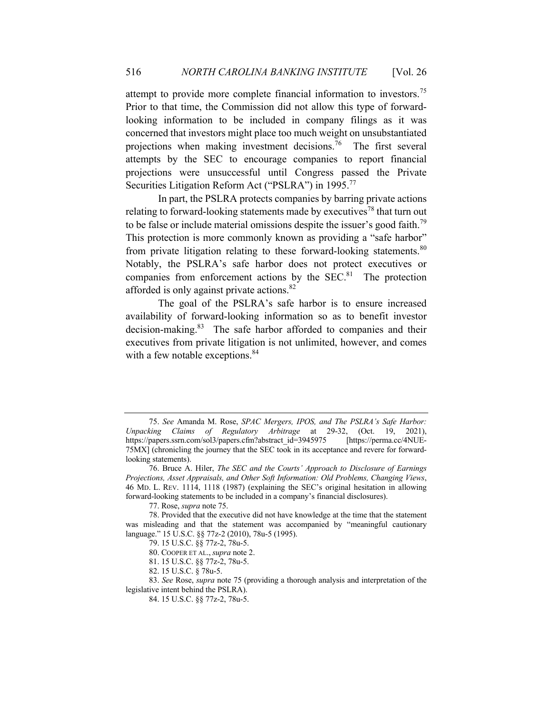attempt to provide more complete financial information to investors.<sup>75</sup> Prior to that time, the Commission did not allow this type of forwardlooking information to be included in company filings as it was concerned that investors might place too much weight on unsubstantiated projections when making investment decisions.76 The first several attempts by the SEC to encourage companies to report financial projections were unsuccessful until Congress passed the Private Securities Litigation Reform Act ("PSLRA") in 1995.<sup>77</sup>

In part, the PSLRA protects companies by barring private actions relating to forward-looking statements made by executives<sup>78</sup> that turn out to be false or include material omissions despite the issuer's good faith.<sup>79</sup> This protection is more commonly known as providing a "safe harbor" from private litigation relating to these forward-looking statements.<sup>80</sup> Notably, the PSLRA's safe harbor does not protect executives or companies from enforcement actions by the  $SEC.<sup>81</sup>$  The protection afforded is only against private actions.82

The goal of the PSLRA's safe harbor is to ensure increased availability of forward-looking information so as to benefit investor decision-making.<sup>83</sup> The safe harbor afforded to companies and their executives from private litigation is not unlimited, however, and comes with a few notable exceptions.<sup>84</sup>

<sup>75.</sup> *See* Amanda M. Rose, *SPAC Mergers, IPOS, and The PSLRA's Safe Harbor: Unpacking Claims of Regulatory Arbitrage* at 29-32, (Oct. 19, 2021), https://papers.ssrn.com/sol3/papers.cfm?abstract\_id=3945975 [https://perma.cc/4NUE-75MX] (chronicling the journey that the SEC took in its acceptance and revere for forwardlooking statements).

<sup>76.</sup> Bruce A. Hiler, *The SEC and the Courts' Approach to Disclosure of Earnings Projections, Asset Appraisals, and Other Soft Information: Old Problems, Changing Views*, 46 MD. L. REV. 1114, 1118 (1987) (explaining the SEC's original hesitation in allowing forward-looking statements to be included in a company's financial disclosures).

<sup>77.</sup> Rose, *supra* note 75.

<sup>78.</sup> Provided that the executive did not have knowledge at the time that the statement was misleading and that the statement was accompanied by "meaningful cautionary language." 15 U.S.C. §§ 77z-2 (2010), 78u-5 (1995).

<sup>79. 15</sup> U.S.C. §§ 77z-2, 78u-5.

<sup>80.</sup> COOPER ET AL.,*supra* note 2.

<sup>81. 15</sup> U.S.C. §§ 77z-2, 78u-5.

<sup>82. 15</sup> U.S.C. § 78u-5.

<sup>83.</sup> *See* Rose, *supra* note 75 (providing a thorough analysis and interpretation of the legislative intent behind the PSLRA).

<sup>84. 15</sup> U.S.C. §§ 77z-2, 78u-5.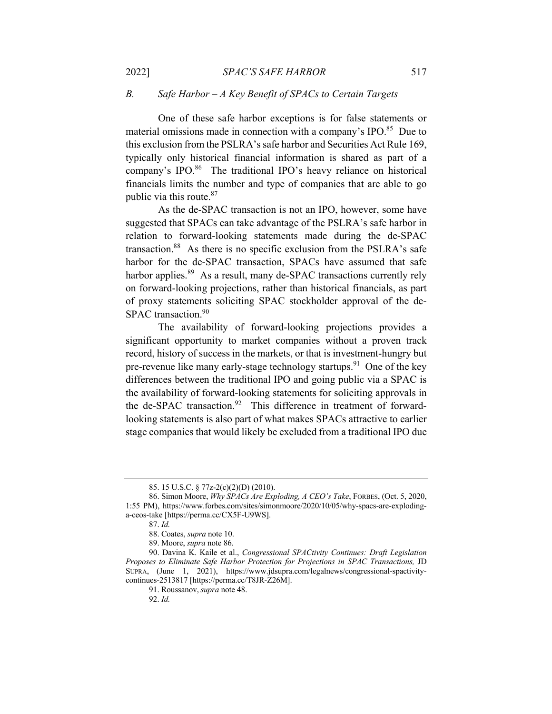# *B. Safe Harbor – A Key Benefit of SPACs to Certain Targets*

One of these safe harbor exceptions is for false statements or material omissions made in connection with a company's IPO.<sup>85</sup> Due to this exclusion from the PSLRA's safe harbor and Securities Act Rule 169, typically only historical financial information is shared as part of a company's IPO.<sup>86</sup> The traditional IPO's heavy reliance on historical financials limits the number and type of companies that are able to go public via this route.<sup>87</sup>

As the de-SPAC transaction is not an IPO, however, some have suggested that SPACs can take advantage of the PSLRA's safe harbor in relation to forward-looking statements made during the de-SPAC transaction.<sup>88</sup> As there is no specific exclusion from the PSLRA's safe harbor for the de-SPAC transaction, SPACs have assumed that safe harbor applies.<sup>89</sup> As a result, many de-SPAC transactions currently rely on forward-looking projections, rather than historical financials, as part of proxy statements soliciting SPAC stockholder approval of the de-SPAC transaction.<sup>90</sup>

The availability of forward-looking projections provides a significant opportunity to market companies without a proven track record, history of success in the markets, or that is investment-hungry but pre-revenue like many early-stage technology startups.<sup>91</sup> One of the key differences between the traditional IPO and going public via a SPAC is the availability of forward-looking statements for soliciting approvals in the de-SPAC transaction.<sup>92</sup> This difference in treatment of forwardlooking statements is also part of what makes SPACs attractive to earlier stage companies that would likely be excluded from a traditional IPO due

<sup>85. 15</sup> U.S.C. § 77z-2(c)(2)(D) (2010).

<sup>86.</sup> Simon Moore, *Why SPACs Are Exploding, A CEO's Take*, FORBES, (Oct. 5, 2020, 1:55 PM), https://www.forbes.com/sites/simonmoore/2020/10/05/why-spacs-are-explodinga-ceos-take [https://perma.cc/CX5F-U9WS].

<sup>87.</sup> *Id.* 

<sup>88.</sup> Coates, *supra* note 10.

<sup>89.</sup> Moore, *supra* note 86.

<sup>90.</sup> Davina K. Kaile et al., *Congressional SPACtivity Continues: Draft Legislation Proposes to Eliminate Safe Harbor Protection for Projections in SPAC Transactions,* JD SUPRA, (June 1, 2021), https://www.jdsupra.com/legalnews/congressional-spactivitycontinues-2513817 [https://perma.cc/T8JR-Z26M].

<sup>91.</sup> Roussanov,*supra* note 48.

<sup>92.</sup> *Id.*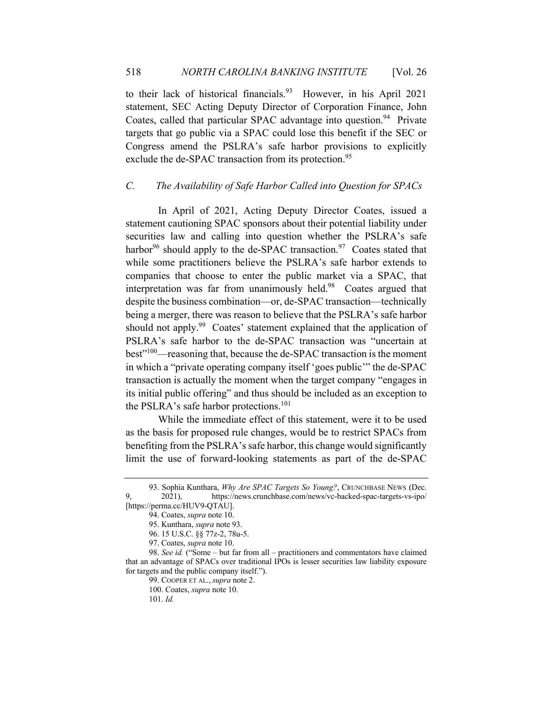to their lack of historical financials.<sup>93</sup> However, in his April 2021 statement, SEC Acting Deputy Director of Corporation Finance, John Coates, called that particular SPAC advantage into question.<sup>94</sup> Private targets that go public via a SPAC could lose this benefit if the SEC or Congress amend the PSLRA's safe harbor provisions to explicitly exclude the de-SPAC transaction from its protection.<sup>95</sup>

### *C. The Availability of Safe Harbor Called into Question for SPACs*

In April of 2021, Acting Deputy Director Coates, issued a statement cautioning SPAC sponsors about their potential liability under securities law and calling into question whether the PSLRA's safe harbor<sup>96</sup> should apply to the de-SPAC transaction.<sup>97</sup> Coates stated that while some practitioners believe the PSLRA's safe harbor extends to companies that choose to enter the public market via a SPAC, that interpretation was far from unanimously held.<sup>98</sup> Coates argued that despite the business combination—or, de-SPAC transaction—technically being a merger, there was reason to believe that the PSLRA's safe harbor should not apply.<sup>99</sup> Coates' statement explained that the application of PSLRA's safe harbor to the de-SPAC transaction was "uncertain at best"100—reasoning that, because the de-SPAC transaction is the moment in which a "private operating company itself 'goes public'" the de-SPAC transaction is actually the moment when the target company "engages in its initial public offering" and thus should be included as an exception to the PSLRA's safe harbor protections.<sup>101</sup>

While the immediate effect of this statement, were it to be used as the basis for proposed rule changes, would be to restrict SPACs from benefiting from the PSLRA's safe harbor, this change would significantly limit the use of forward-looking statements as part of the de-SPAC

<sup>93.</sup> Sophia Kunthara, *Why Are SPAC Targets So Young?*, CRUNCHBASE NEWS (Dec. 9, 2021), https://news.crunchbase.com/news/vc-backed-spac-targets-vs-ipo/ [https://perma.cc/HUV9-QTAU].

<sup>94.</sup> Coates, *supra* note 10.

<sup>95.</sup> Kunthara, *supra* note 93.

<sup>96. 15</sup> U.S.C. §§ 77z-2, 78u-5.

<sup>97.</sup> Coates, *supra* note 10.

<sup>98.</sup> *See id.* ("Some – but far from all – practitioners and commentators have claimed that an advantage of SPACs over traditional IPOs is lesser securities law liability exposure for targets and the public company itself.").

<sup>99.</sup> COOPER ET AL.,*supra* note 2.

<sup>100.</sup> Coates, *supra* note 10.

<sup>101.</sup> *Id.*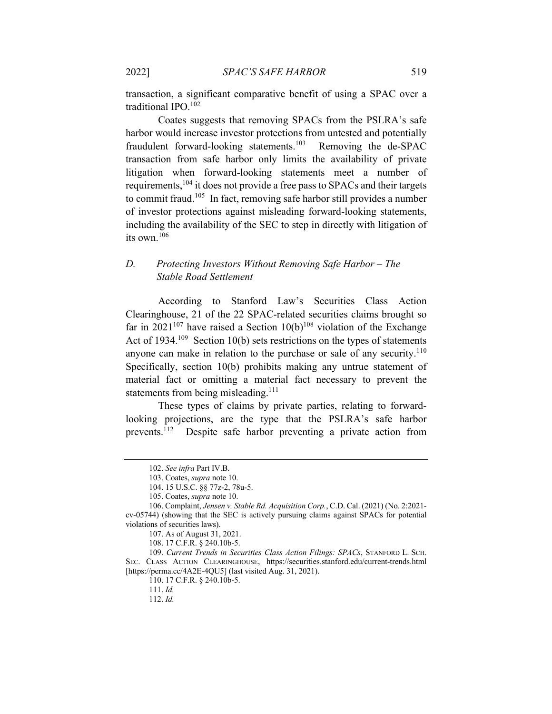transaction, a significant comparative benefit of using a SPAC over a traditional IPO.102

Coates suggests that removing SPACs from the PSLRA's safe harbor would increase investor protections from untested and potentially fraudulent forward-looking statements.<sup>103</sup> Removing the de-SPAC transaction from safe harbor only limits the availability of private litigation when forward-looking statements meet a number of requirements,<sup>104</sup> it does not provide a free pass to SPACs and their targets to commit fraud.105 In fact, removing safe harbor still provides a number of investor protections against misleading forward-looking statements, including the availability of the SEC to step in directly with litigation of its own.<sup>106</sup>

# *D. Protecting Investors Without Removing Safe Harbor – The Stable Road Settlement*

According to Stanford Law's Securities Class Action Clearinghouse, 21 of the 22 SPAC-related securities claims brought so far in 2021<sup>107</sup> have raised a Section 10(b)<sup>108</sup> violation of the Exchange Act of  $1934$ <sup>109</sup> Section 10(b) sets restrictions on the types of statements anyone can make in relation to the purchase or sale of any security.<sup>110</sup> Specifically, section 10(b) prohibits making any untrue statement of material fact or omitting a material fact necessary to prevent the statements from being misleading.<sup>111</sup>

These types of claims by private parties, relating to forwardlooking projections, are the type that the PSLRA's safe harbor prevents.112 Despite safe harbor preventing a private action from

<sup>102.</sup> *See infra* Part IV.B.

<sup>103.</sup> Coates, *supra* note 10.

<sup>104. 15</sup> U.S.C. §§ 77z-2, 78u-5.

<sup>105.</sup> Coates, *supra* note 10.

<sup>106.</sup> Complaint, *Jensen v. Stable Rd. Acquisition Corp.*, C.D. Cal. (2021) (No. 2:2021 cv-05744) (showing that the SEC is actively pursuing claims against SPACs for potential violations of securities laws).

<sup>107.</sup> As of August 31, 2021.

<sup>108. 17</sup> C.F.R. § 240.10b-5.

<sup>109.</sup> *Current Trends in Securities Class Action Filings: SPACs*, STANFORD L. SCH. SEC. CLASS ACTION CLEARINGHOUSE, https://securities.stanford.edu/current-trends.html [https://perma.cc/4A2E-4QU5] (last visited Aug. 31, 2021).

<sup>110. 17</sup> C.F.R. § 240.10b-5.

<sup>111.</sup> *Id.*

<sup>112.</sup> *Id.*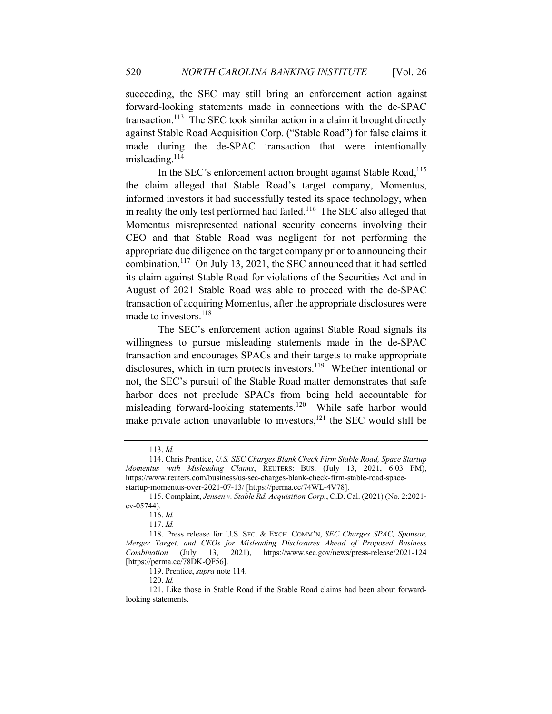succeeding, the SEC may still bring an enforcement action against forward-looking statements made in connections with the de-SPAC transaction.<sup>113</sup> The SEC took similar action in a claim it brought directly against Stable Road Acquisition Corp. ("Stable Road") for false claims it made during the de-SPAC transaction that were intentionally misleading.<sup>114</sup>

In the SEC's enforcement action brought against Stable Road,<sup>115</sup> the claim alleged that Stable Road's target company, Momentus, informed investors it had successfully tested its space technology, when in reality the only test performed had failed.<sup>116</sup> The SEC also alleged that Momentus misrepresented national security concerns involving their CEO and that Stable Road was negligent for not performing the appropriate due diligence on the target company prior to announcing their combination.117 On July 13, 2021, the SEC announced that it had settled its claim against Stable Road for violations of the Securities Act and in August of 2021 Stable Road was able to proceed with the de-SPAC transaction of acquiring Momentus, after the appropriate disclosures were made to investors.<sup>118</sup>

The SEC's enforcement action against Stable Road signals its willingness to pursue misleading statements made in the de-SPAC transaction and encourages SPACs and their targets to make appropriate disclosures, which in turn protects investors.<sup>119</sup> Whether intentional or not, the SEC's pursuit of the Stable Road matter demonstrates that safe harbor does not preclude SPACs from being held accountable for misleading forward-looking statements.<sup>120</sup> While safe harbor would make private action unavailable to investors, $^{121}$  the SEC would still be

<sup>113.</sup> *Id.*

<sup>114.</sup> Chris Prentice, *U.S. SEC Charges Blank Check Firm Stable Road, Space Startup Momentus with Misleading Claims*, REUTERS: BUS. (July 13, 2021, 6:03 PM), https://www.reuters.com/business/us-sec-charges-blank-check-firm-stable-road-spacestartup-momentus-over-2021-07-13/ [https://perma.cc/74WL-4V78].

<sup>115.</sup> Complaint, *Jensen v. Stable Rd. Acquisition Corp.*, C.D. Cal. (2021) (No. 2:2021 cv-05744).

<sup>116.</sup> *Id.*

<sup>117.</sup> *Id.*

<sup>118.</sup> Press release for U.S. SEC. & EXCH. COMM'N, *SEC Charges SPAC, Sponsor, Merger Target, and CEOs for Misleading Disclosures Ahead of Proposed Business Combination* (July 13, 2021), https://www.sec.gov/news/press-release/2021-124 [https://perma.cc/78DK-QF56].

<sup>119.</sup> Prentice, *supra* note 114.

<sup>120.</sup> *Id.* 

<sup>121.</sup> Like those in Stable Road if the Stable Road claims had been about forwardlooking statements.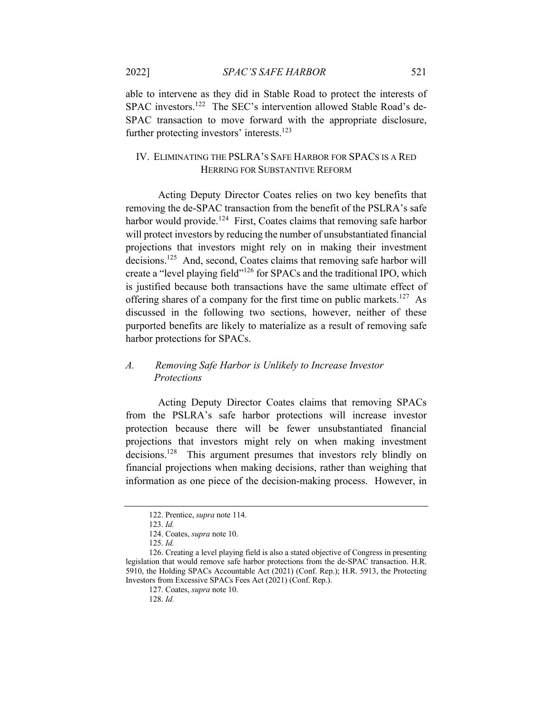able to intervene as they did in Stable Road to protect the interests of SPAC investors.<sup>122</sup> The SEC's intervention allowed Stable Road's de-SPAC transaction to move forward with the appropriate disclosure, further protecting investors' interests.<sup>123</sup>

### IV. ELIMINATING THE PSLRA'S SAFE HARBOR FOR SPACS IS A RED HERRING FOR SUBSTANTIVE REFORM

Acting Deputy Director Coates relies on two key benefits that removing the de-SPAC transaction from the benefit of the PSLRA's safe harbor would provide.<sup>124</sup> First, Coates claims that removing safe harbor will protect investors by reducing the number of unsubstantiated financial projections that investors might rely on in making their investment decisions.125 And, second, Coates claims that removing safe harbor will create a "level playing field"<sup>126</sup> for SPACs and the traditional IPO, which is justified because both transactions have the same ultimate effect of offering shares of a company for the first time on public markets.<sup>127</sup> As discussed in the following two sections, however, neither of these purported benefits are likely to materialize as a result of removing safe harbor protections for SPACs.

# *A. Removing Safe Harbor is Unlikely to Increase Investor Protections*

Acting Deputy Director Coates claims that removing SPACs from the PSLRA's safe harbor protections will increase investor protection because there will be fewer unsubstantiated financial projections that investors might rely on when making investment decisions.<sup>128</sup> This argument presumes that investors rely blindly on financial projections when making decisions, rather than weighing that information as one piece of the decision-making process. However, in

<sup>122.</sup> Prentice, *supra* note 114.

<sup>123.</sup> *Id.*

<sup>124.</sup> Coates, *supra* note 10.

<sup>125.</sup> *Id.* 

<sup>126.</sup> Creating a level playing field is also a stated objective of Congress in presenting legislation that would remove safe harbor protections from the de-SPAC transaction. H.R. 5910, the Holding SPACs Accountable Act (2021) (Conf. Rep.); H.R. 5913, the Protecting Investors from Excessive SPACs Fees Act (2021) (Conf. Rep.).

<sup>127.</sup> Coates, *supra* note 10.

<sup>128.</sup> *Id.*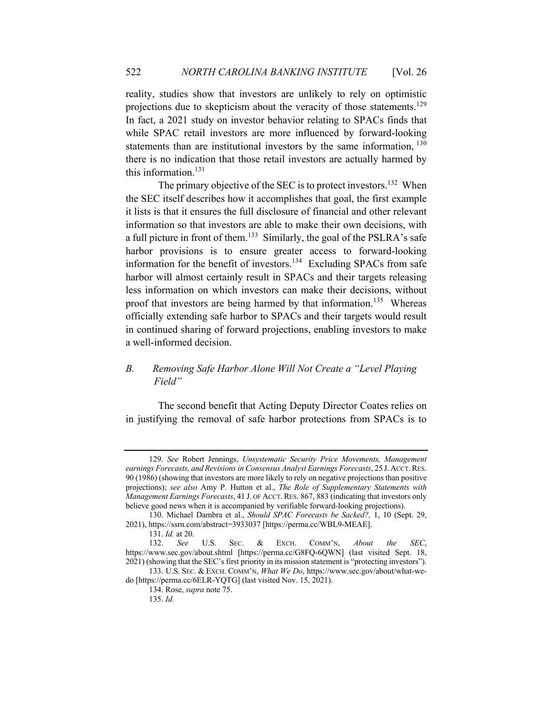reality, studies show that investors are unlikely to rely on optimistic projections due to skepticism about the veracity of those statements.<sup>129</sup> In fact, a 2021 study on investor behavior relating to SPACs finds that while SPAC retail investors are more influenced by forward-looking statements than are institutional investors by the same information, <sup>130</sup> there is no indication that those retail investors are actually harmed by this information.<sup>131</sup>

The primary objective of the SEC is to protect investors.<sup>132</sup> When the SEC itself describes how it accomplishes that goal, the first example it lists is that it ensures the full disclosure of financial and other relevant information so that investors are able to make their own decisions, with a full picture in front of them.133 Similarly, the goal of the PSLRA's safe harbor provisions is to ensure greater access to forward-looking information for the benefit of investors.<sup>134</sup> Excluding SPACs from safe harbor will almost certainly result in SPACs and their targets releasing less information on which investors can make their decisions, without proof that investors are being harmed by that information.<sup>135</sup> Whereas officially extending safe harbor to SPACs and their targets would result in continued sharing of forward projections, enabling investors to make a well-informed decision.

# *B. Removing Safe Harbor Alone Will Not Create a "Level Playing Field"*

The second benefit that Acting Deputy Director Coates relies on in justifying the removal of safe harbor protections from SPACs is to

<sup>129.</sup> *See* Robert Jennings, *Unsystematic Security Price Movements, Management earnings Forecasts, and Revisions in Consensus Analyst Earnings Forecasts*, 25 J. ACCT.RES. 90 (1986) (showing that investors are more likely to rely on negative projections than positive projections); *see also* Amy P. Hutton et al., *The Role of Supplementary Statements with Management Earnings Forecasts*, 41 J. OF ACCT.RES. 867, 883 (indicating that investors only believe good news when it is accompanied by verifiable forward-looking projections).

<sup>130.</sup> Michael Dambra et al., *Should SPAC Forecasts be Sacked?,* 1, 10 (Sept. 29, 2021), https://ssrn.com/abstract=3933037 [https://perma.cc/WBL9-MEAE].

<sup>131.</sup> *Id.* at 20.

<sup>132.</sup> *See* U.S. SEC. & EXCH. COMM'N, *About the SEC*, https://www.sec.gov/about.shtml [https://perma.cc/G8FQ-6QWN] (last visited Sept. 18, 2021) (showing that the SEC's first priority in its mission statement is "protecting investors").

<sup>133.</sup> U.S. SEC. & EXCH. COMM'N, *What We Do*, https://www.sec.gov/about/what-wedo [https://perma.cc/6ELR-YQTG] (last visited Nov. 15, 2021).

<sup>134.</sup> Rose, *supra* note 75.

<sup>135.</sup> *Id.*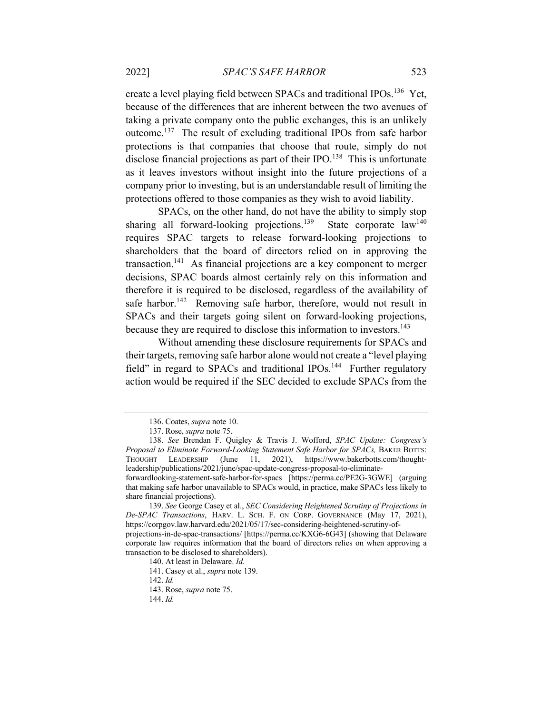create a level playing field between SPACs and traditional IPOs.<sup>136</sup> Yet, because of the differences that are inherent between the two avenues of taking a private company onto the public exchanges, this is an unlikely outcome.137 The result of excluding traditional IPOs from safe harbor protections is that companies that choose that route, simply do not disclose financial projections as part of their  $IPO<sup>138</sup>$ . This is unfortunate as it leaves investors without insight into the future projections of a company prior to investing, but is an understandable result of limiting the protections offered to those companies as they wish to avoid liability.

SPACs, on the other hand, do not have the ability to simply stop sharing all forward-looking projections.<sup>139</sup> State corporate  $law<sup>140</sup>$ requires SPAC targets to release forward-looking projections to shareholders that the board of directors relied on in approving the transaction.141 As financial projections are a key component to merger decisions, SPAC boards almost certainly rely on this information and therefore it is required to be disclosed, regardless of the availability of safe harbor.<sup>142</sup> Removing safe harbor, therefore, would not result in SPACs and their targets going silent on forward-looking projections, because they are required to disclose this information to investors.<sup>143</sup>

Without amending these disclosure requirements for SPACs and their targets, removing safe harbor alone would not create a "level playing field" in regard to SPACs and traditional  $IPOs.<sup>144</sup>$  Further regulatory action would be required if the SEC decided to exclude SPACs from the

<sup>136.</sup> Coates, *supra* note 10.

<sup>137.</sup> Rose, *supra* note 75.

<sup>138.</sup> *See* Brendan F. Quigley & Travis J. Wofford, *SPAC Update: Congress's Proposal to Eliminate Forward-Looking Statement Safe Harbor for SPACs,* BAKER BOTTS: THOUGHT LEADERSHIP (June 11, 2021), https://www.bakerbotts.com/thoughtleadership/publications/2021/june/spac-update-congress-proposal-to-eliminateforwardlooking-statement-safe-harbor-for-spacs [https://perma.cc/PE2G-3GWE] (arguing

that making safe harbor unavailable to SPACs would, in practice, make SPACs less likely to share financial projections).

<sup>139.</sup> *See* George Casey et al., *SEC Considering Heightened Scrutiny of Projections in De-SPAC Transactions*, HARV. L. SCH. F. ON CORP. GOVERNANCE (May 17, 2021), https://corpgov.law.harvard.edu/2021/05/17/sec-considering-heightened-scrutiny-of-

projections-in-de-spac-transactions/ [https://perma.cc/KXG6-6G43] (showing that Delaware corporate law requires information that the board of directors relies on when approving a transaction to be disclosed to shareholders).

<sup>140.</sup> At least in Delaware. *Id.* 

<sup>141.</sup> Casey et al., *supra* note 139.

<sup>142.</sup> *Id.*

<sup>143.</sup> Rose, *supra* note 75.

<sup>144.</sup> *Id.*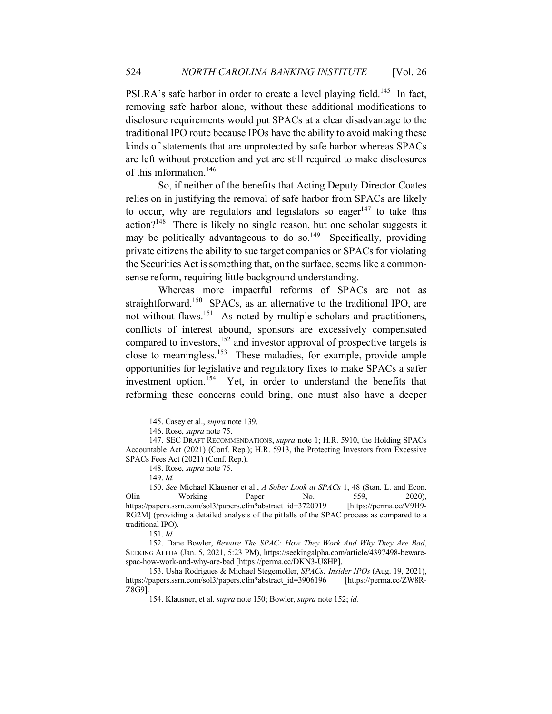PSLRA's safe harbor in order to create a level playing field.<sup>145</sup> In fact, removing safe harbor alone, without these additional modifications to disclosure requirements would put SPACs at a clear disadvantage to the traditional IPO route because IPOs have the ability to avoid making these kinds of statements that are unprotected by safe harbor whereas SPACs are left without protection and yet are still required to make disclosures of this information.146

So, if neither of the benefits that Acting Deputy Director Coates relies on in justifying the removal of safe harbor from SPACs are likely to occur, why are regulators and legislators so eager<sup>147</sup> to take this  $\arctan^{2^{148}}$  There is likely no single reason, but one scholar suggests it may be politically advantageous to do so.<sup>149</sup> Specifically, providing private citizens the ability to sue target companies or SPACs for violating the Securities Act is something that, on the surface, seems like a commonsense reform, requiring little background understanding.

Whereas more impactful reforms of SPACs are not as straightforward.<sup>150</sup> SPACs, as an alternative to the traditional IPO, are not without flaws.<sup>151</sup> As noted by multiple scholars and practitioners, conflicts of interest abound, sponsors are excessively compensated compared to investors,<sup>152</sup> and investor approval of prospective targets is close to meaningless.153 These maladies, for example, provide ample opportunities for legislative and regulatory fixes to make SPACs a safer investment option.<sup>154</sup> Yet, in order to understand the benefits that reforming these concerns could bring, one must also have a deeper

<sup>145.</sup> Casey et al., *supra* note 139.

<sup>146.</sup> Rose, *supra* note 75.

<sup>147.</sup> SEC DRAFT RECOMMENDATIONS, *supra* note 1; H.R. 5910, the Holding SPACs Accountable Act (2021) (Conf. Rep.); H.R. 5913, the Protecting Investors from Excessive SPACs Fees Act (2021) (Conf. Rep.).

<sup>148.</sup> Rose, *supra* note 75.

<sup>149.</sup> *Id.*

<sup>150.</sup> *See* Michael Klausner et al., *A Sober Look at SPACs* 1, 48 (Stan. L. and Econ. Olin Working Paper No. 559, 2020), https://papers.ssrn.com/sol3/papers.cfm?abstract\_id=3720919 [https://perma.cc/V9H9- RG2M] (providing a detailed analysis of the pitfalls of the SPAC process as compared to a traditional IPO).

<sup>151.</sup> *Id.*

<sup>152.</sup> Dane Bowler, *Beware The SPAC: How They Work And Why They Are Bad*, SEEKING ALPHA (Jan. 5, 2021, 5:23 PM), https://seekingalpha.com/article/4397498-bewarespac-how-work-and-why-are-bad [https://perma.cc/DKN3-U8HP].

<sup>153.</sup> Usha Rodrigues & Michael Stegemoller, *SPACs: Insider IPOs* (Aug. 19, 2021), https://papers.ssrn.com/sol3/papers.cfm?abstract\_id=3906196 [https://perma.cc/ZW8R-Z8G9].

<sup>154.</sup> Klausner, et al. *supra* note 150; Bowler, *supra* note 152; *id.*